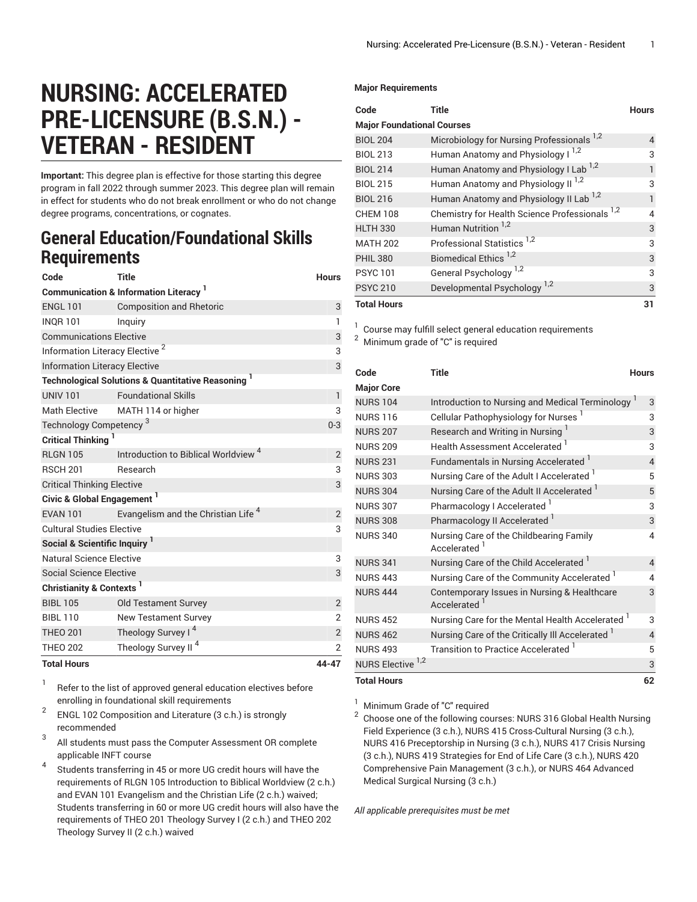## **NURSING: ACCELERATED PRE-LICENSURE (B.S.N.) - VETERAN - RESIDENT**

**Important:** This degree plan is effective for those starting this degree program in fall 2022 through summer 2023. This degree plan will remain in effect for students who do not break enrollment or who do not change degree programs, concentrations, or cognates.

## **General Education/Foundational Skills Requirements**

| Code                                                        | Title                                           | <b>Hours</b>   |  |  |
|-------------------------------------------------------------|-------------------------------------------------|----------------|--|--|
| <b>Communication &amp; Information Literacy</b>             |                                                 |                |  |  |
| <b>ENGL 101</b>                                             | <b>Composition and Rhetoric</b>                 | 3              |  |  |
| <b>INOR 101</b>                                             | Inquiry                                         | 1              |  |  |
| <b>Communications Elective</b>                              |                                                 |                |  |  |
| Information Literacy Elective <sup>2</sup>                  |                                                 |                |  |  |
| <b>Information Literacy Elective</b>                        |                                                 |                |  |  |
| <b>Technological Solutions &amp; Quantitative Reasoning</b> |                                                 |                |  |  |
| <b>UNIV 101</b>                                             | <b>Foundational Skills</b>                      | $\mathbf{1}$   |  |  |
| <b>Math Elective</b>                                        | MATH 114 or higher                              | 3              |  |  |
| Technology Competency <sup>3</sup>                          |                                                 |                |  |  |
| Critical Thinking <sup>1</sup>                              |                                                 |                |  |  |
| <b>RI GN 105</b>                                            | Introduction to Biblical Worldview <sup>4</sup> | 2              |  |  |
| <b>RSCH 201</b>                                             | Research                                        | 3              |  |  |
| <b>Critical Thinking Elective</b>                           |                                                 |                |  |  |
| Civic & Global Engagement <sup>1</sup>                      |                                                 |                |  |  |
| <b>FVAN 101</b>                                             | Evangelism and the Christian Life <sup>4</sup>  | 2              |  |  |
| <b>Cultural Studies Elective</b>                            |                                                 |                |  |  |
| Social & Scientific Inquiry <sup>1</sup>                    |                                                 |                |  |  |
| Natural Science Elective                                    |                                                 | 3              |  |  |
| Social Science Elective                                     |                                                 | 3              |  |  |
| Christianity & Contexts <sup>1</sup>                        |                                                 |                |  |  |
| <b>BIBL 105</b>                                             | <b>Old Testament Survey</b>                     | $\overline{2}$ |  |  |
| <b>BIBI 110</b>                                             | <b>New Testament Survey</b>                     | $\overline{2}$ |  |  |
| <b>THEO 201</b>                                             | Theology Survey I <sup>4</sup>                  | $\overline{c}$ |  |  |
| <b>THEO 202</b>                                             | Theology Survey II <sup>4</sup>                 | $\overline{2}$ |  |  |
| <b>Total Hours</b>                                          |                                                 | 44-47          |  |  |

1 Refer to the list of approved general [education](https://www.liberty.edu/gened/) electives before enrolling in foundational skill requirements

- 2 ENGL 102 Composition and Literature (3 c.h.) is strongly recommended
- 3 All students must pass the [Computer Assessment](https://www.liberty.edu/computerassessment/) OR complete applicable INFT course
- 4 Students transferring in 45 or more UG credit hours will have the requirements of RLGN 105 Introduction to Biblical Worldview (2 c.h.) and EVAN 101 Evangelism and the Christian Life (2 c.h.) waived; Students transferring in 60 or more UG credit hours will also have the requirements of THEO 201 Theology Survey I (2 c.h.) and THEO 202 Theology Survey II (2 c.h.) waived

## **Major Requirements**

| Code                              | <b>Title</b>                                          | <b>Hours</b> |  |  |
|-----------------------------------|-------------------------------------------------------|--------------|--|--|
| <b>Major Foundational Courses</b> |                                                       |              |  |  |
| <b>BIOL 204</b>                   | Microbiology for Nursing Professionals <sup>1,2</sup> | 4            |  |  |
| <b>BIOL 213</b>                   | Human Anatomy and Physiology I <sup>1,2</sup>         | 3            |  |  |
| <b>BIOL 214</b>                   | Human Anatomy and Physiology I Lab <sup>1,2</sup>     | 1            |  |  |
| <b>BIOL 215</b>                   | Human Anatomy and Physiology II <sup>1,2</sup>        | 3            |  |  |
| <b>BIOL 216</b>                   | Human Anatomy and Physiology II Lab <sup>1,2</sup>    | 1            |  |  |
| <b>CHEM 108</b>                   | Chemistry for Health Science Professionals 1,2        | 4            |  |  |
| <b>HLTH 330</b>                   | Human Nutrition <sup>1,2</sup>                        | 3            |  |  |
| <b>MATH 202</b>                   | Professional Statistics <sup>1,2</sup>                | 3            |  |  |
| <b>PHIL 380</b>                   | Biomedical Ethics <sup>1,2</sup>                      | 3            |  |  |
| <b>PSYC101</b>                    | General Psychology <sup>1,2</sup>                     | 3            |  |  |
| <b>PSYC 210</b>                   | Developmental Psychology <sup>1,2</sup>               | 3            |  |  |
| <b>Total Hours</b>                |                                                       | 31           |  |  |

<sup>1</sup> Course may fulfill select general education [requirements](https://www.liberty.edu/casas/general-education/gen-ed-electives/)

<sup>2</sup> Minimum grade of "C" is required

| Code                         | <b>Title</b>                                                        | <b>Hours</b>             |
|------------------------------|---------------------------------------------------------------------|--------------------------|
| <b>Major Core</b>            |                                                                     |                          |
| <b>NURS 104</b>              | Introduction to Nursing and Medical Terminology <sup>1</sup>        | 3                        |
| <b>NURS 116</b>              | Cellular Pathophysiology for Nurses                                 | 3                        |
| <b>NURS 207</b>              | Research and Writing in Nursing                                     | 3                        |
| <b>NURS 209</b>              | Health Assessment Accelerated 1                                     | 3                        |
| <b>NURS 231</b>              | Fundamentals in Nursing Accelerated                                 | 4                        |
| <b>NURS 303</b>              | Nursing Care of the Adult I Accelerated 1                           | 5                        |
| <b>NURS 304</b>              | Nursing Care of the Adult II Accelerated                            | 5                        |
| <b>NURS 307</b>              | Pharmacology I Accelerated <sup>1</sup>                             | 3                        |
| <b>NURS 308</b>              | Pharmacology II Accelerated                                         | 3                        |
| <b>NURS 340</b>              | Nursing Care of the Childbearing Family<br>Accelerated <sup>1</sup> | 4                        |
| <b>NURS 341</b>              | Nursing Care of the Child Accelerated <sup>1</sup>                  | $\overline{4}$           |
| <b>NURS 443</b>              | Nursing Care of the Community Accelerated <sup>1</sup>              | 4                        |
| <b>NURS 444</b>              | Contemporary Issues in Nursing & Healthcare<br>Accelerated          | 3                        |
| <b>NURS 452</b>              | Nursing Care for the Mental Health Accelerated 1                    | 3                        |
| <b>NURS 462</b>              | Nursing Care of the Critically III Accelerated 1                    | $\overline{\mathcal{L}}$ |
| <b>NURS 493</b>              | Transition to Practice Accelerated                                  | 5                        |
| NURS Elective <sup>1,2</sup> |                                                                     | 3                        |
| <b>Total Hours</b>           |                                                                     | 62                       |

 $<sup>1</sup>$  Minimum Grade of "C" required</sup>

 $^2\,$  Choose one of the following courses: NURS 316 Global Health Nursing Field Experience (3 c.h.), NURS 415 Cross-Cultural Nursing (3 c.h.), NURS 416 Preceptorship in Nursing (3 c.h.), NURS 417 Crisis Nursing (3 c.h.), NURS 419 Strategies for End of Life Care (3 c.h.), NURS 420 Comprehensive Pain Management (3 c.h.), or NURS 464 Advanced Medical Surgical Nursing (3 c.h.)

*All applicable prerequisites must be met*